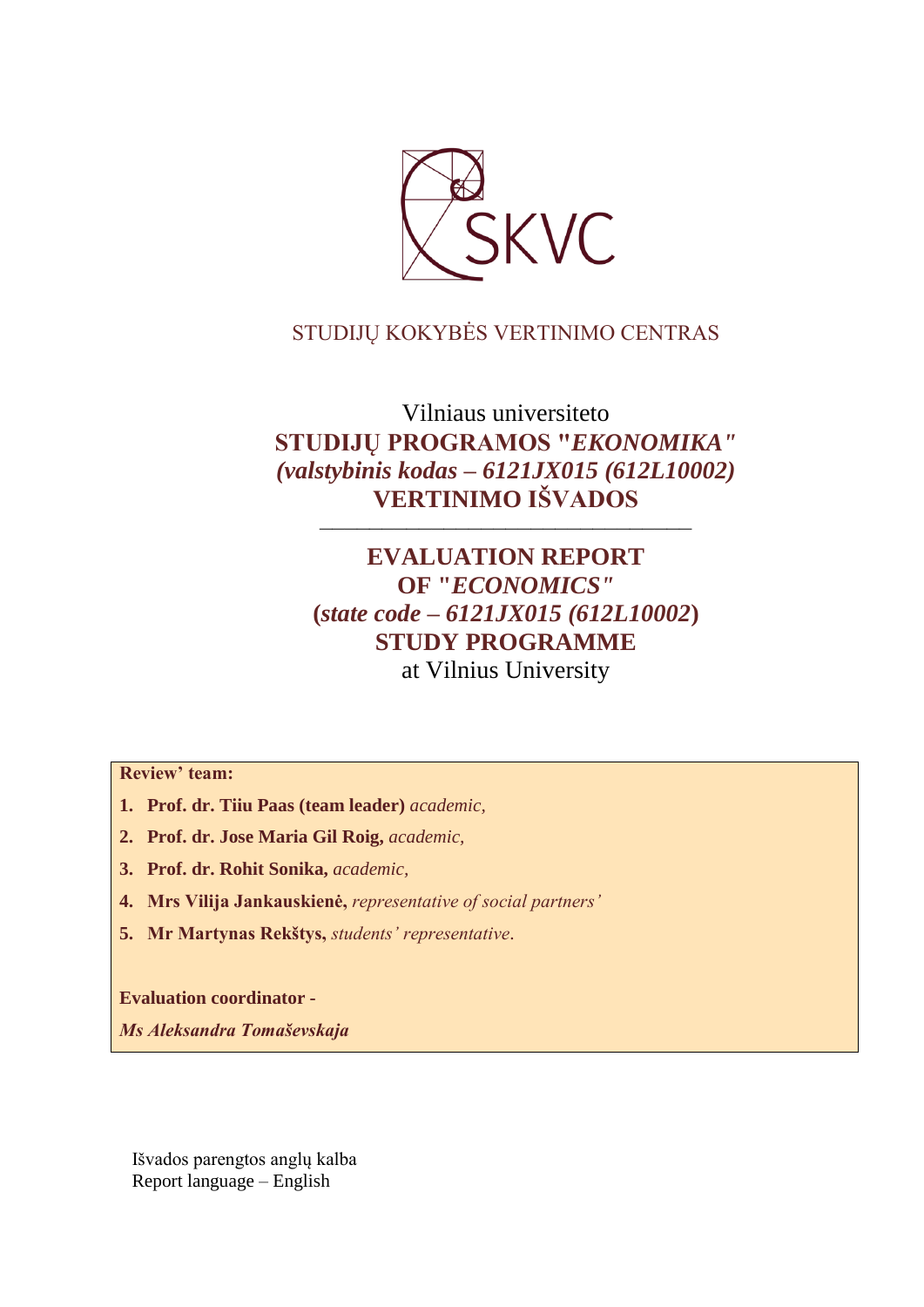

## STUDIJŲ KOKYBĖS VERTINIMO CENTRAS

# Vilniaus universiteto **STUDIJŲ PROGRAMOS "***EKONOMIKA" (valstybinis kodas – 6121JX015 (612L10002)* **VERTINIMO IŠVADOS**

––––––––––––––––––––––––––––––

# **EVALUATION REPORT OF "***ECONOMICS"* **(***state code – 6121JX015 (612L10002***) STUDY PROGRAMME** at Vilnius University

**Review' team:** 

- **1. Prof. dr. Tiiu Paas (team leader)** *academic,*
- **2. Prof. dr. Jose Maria Gil Roig,** *academic,*
- **3. Prof. dr. Rohit Sonika,** *academic,*
- **4. Mrs Vilija Jankauskienė,** *representative of social partners'*
- **5. Mr Martynas Rekštys,** *students' representative*.

**Evaluation coordinator -**

*Ms Aleksandra Tomaševskaja* 

Išvados parengtos anglų kalba Report language – English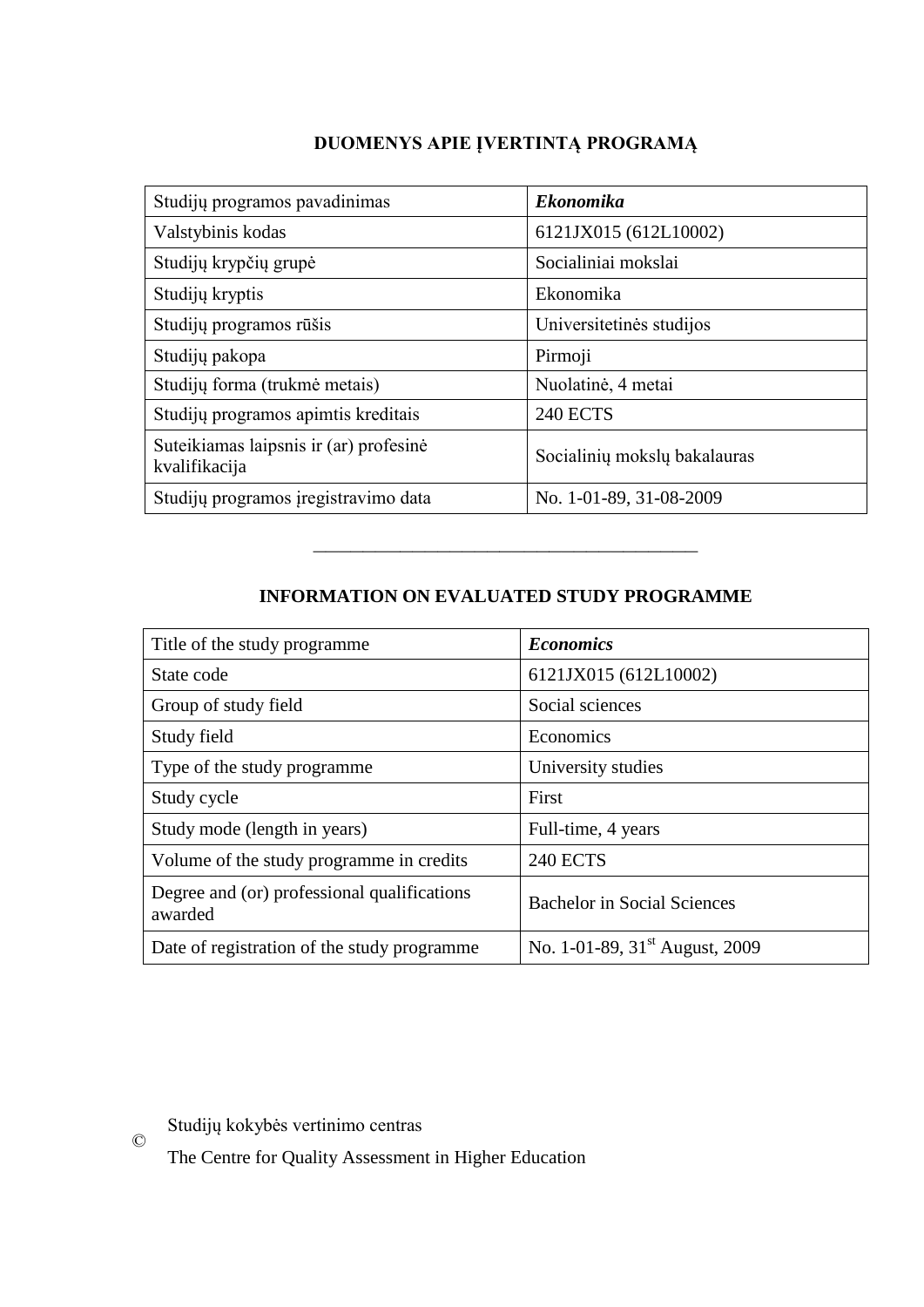## **DUOMENYS APIE ĮVERTINTĄ PROGRAMĄ**

| Studijų programos pavadinimas                           | <b>Ekonomika</b>             |
|---------------------------------------------------------|------------------------------|
| Valstybinis kodas                                       | 6121JX015 (612L10002)        |
| Studijų krypčių grupė                                   | Socialiniai mokslai          |
| Studijų kryptis                                         | Ekonomika                    |
| Studijų programos rūšis                                 | Universitetinės studijos     |
| Studijų pakopa                                          | Pirmoji                      |
| Studijų forma (trukmė metais)                           | Nuolatinė, 4 metai           |
| Studijų programos apimtis kreditais                     | <b>240 ECTS</b>              |
| Suteikiamas laipsnis ir (ar) profesinė<br>kvalifikacija | Socialinių mokslų bakalauras |
| Studijų programos įregistravimo data                    | No. 1-01-89, 31-08-2009      |

## **INFORMATION ON EVALUATED STUDY PROGRAMME**

–––––––––––––––––––––––––––––––

| Title of the study programme                           | <b>Economics</b>                           |
|--------------------------------------------------------|--------------------------------------------|
| State code                                             | 6121JX015 (612L10002)                      |
| Group of study field                                   | Social sciences                            |
| Study field                                            | Economics                                  |
| Type of the study programme                            | University studies                         |
| Study cycle                                            | First                                      |
| Study mode (length in years)                           | Full-time, 4 years                         |
| Volume of the study programme in credits               | <b>240 ECTS</b>                            |
| Degree and (or) professional qualifications<br>awarded | <b>Bachelor in Social Sciences</b>         |
| Date of registration of the study programme            | No. 1-01-89, 31 <sup>st</sup> August, 2009 |

Studijų kokybės vertinimo centras

©

The Centre for Quality Assessment in Higher Education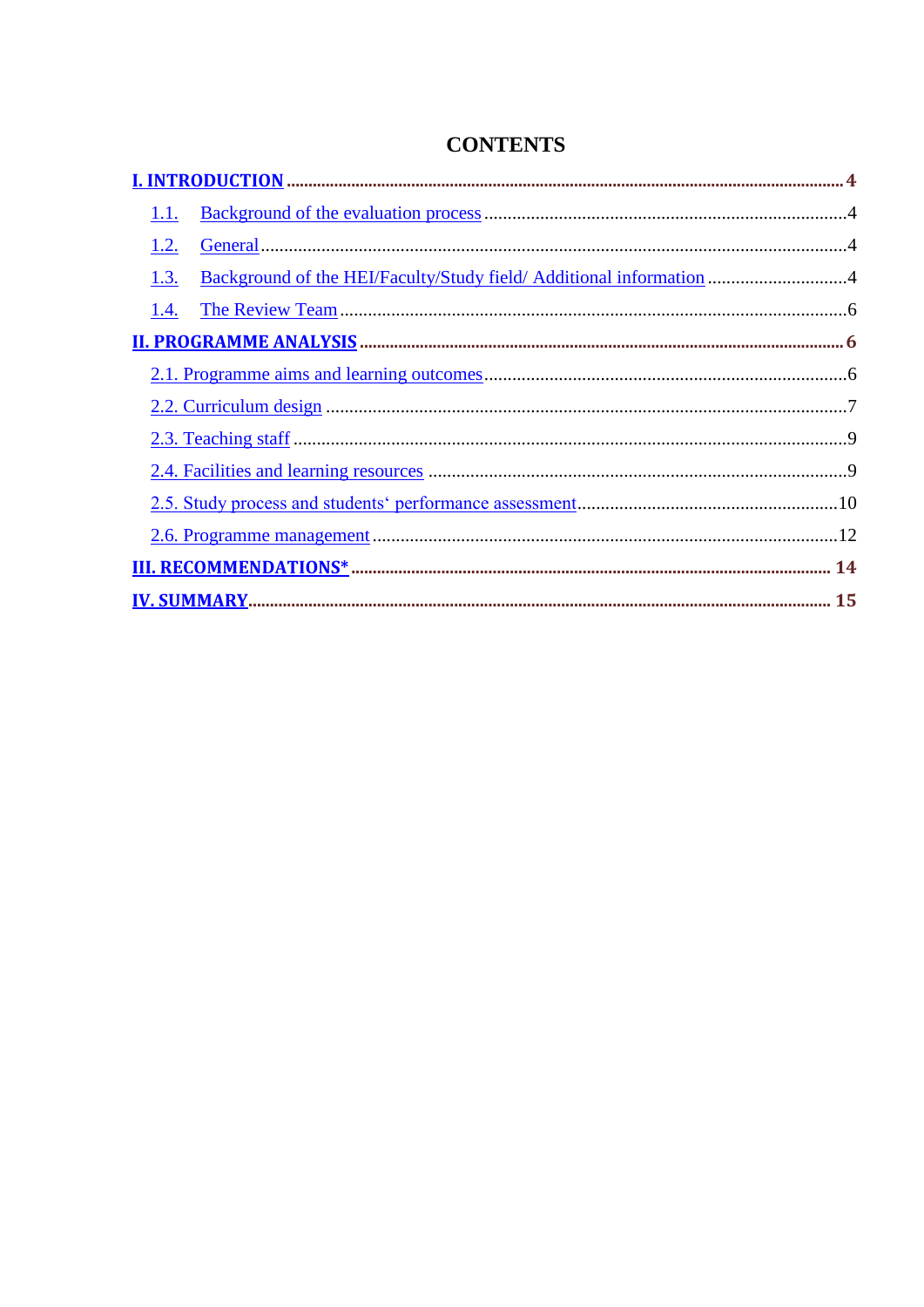| 1.1.                                                                        |  |
|-----------------------------------------------------------------------------|--|
| 1.2.                                                                        |  |
| Background of the HEI/Faculty/Study field/ Additional information 4<br>1.3. |  |
|                                                                             |  |
|                                                                             |  |
|                                                                             |  |
|                                                                             |  |
|                                                                             |  |
|                                                                             |  |
|                                                                             |  |
|                                                                             |  |
|                                                                             |  |
|                                                                             |  |

# **CONTENTS**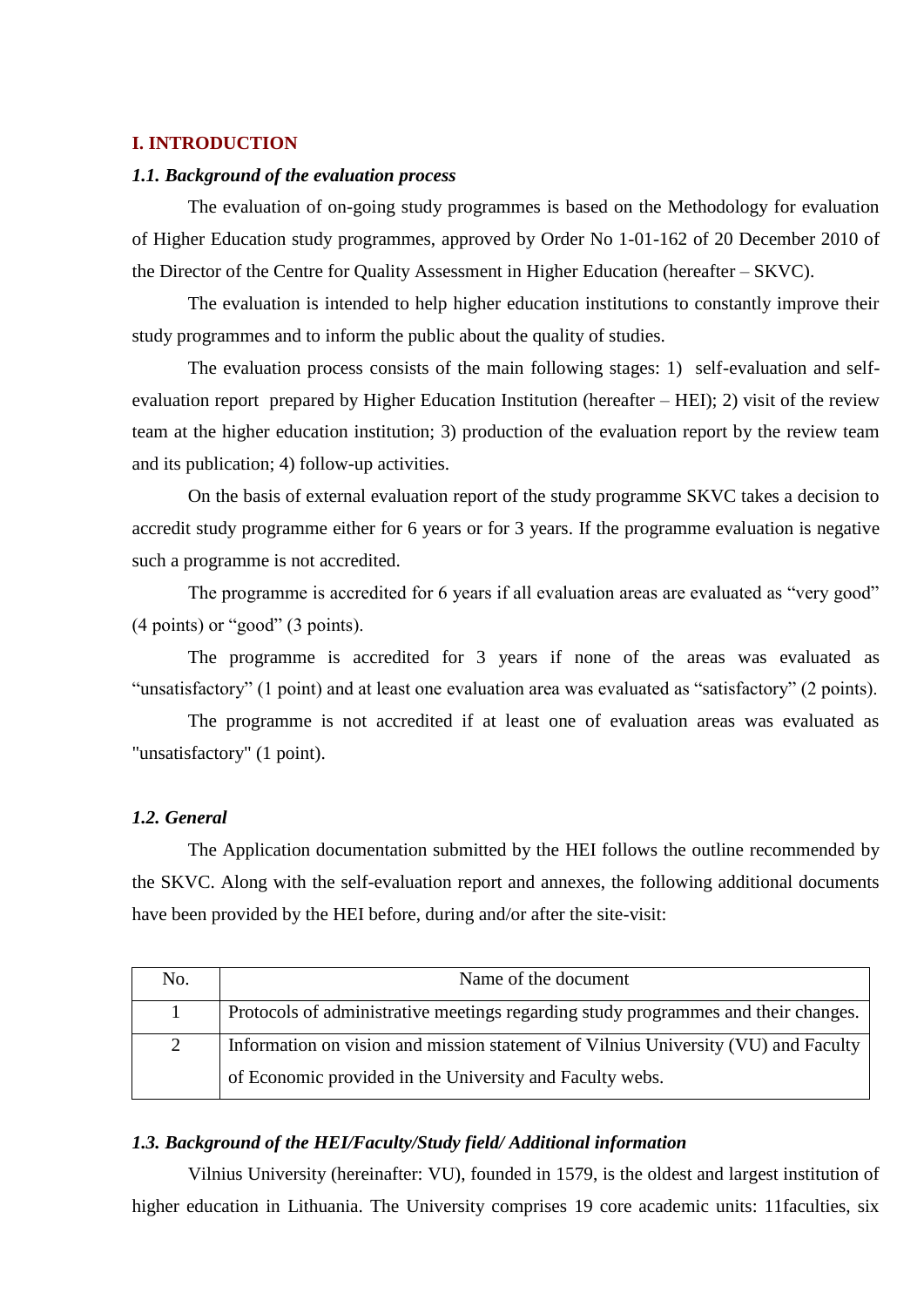### <span id="page-3-0"></span>**I. INTRODUCTION**

#### <span id="page-3-1"></span>*1.1. Background of the evaluation process*

The evaluation of on-going study programmes is based on the Methodology for evaluation of Higher Education study programmes, approved by Order No 1-01-162 of 20 December 2010 of the Director of the Centre for Quality Assessment in Higher Education (hereafter – SKVC).

The evaluation is intended to help higher education institutions to constantly improve their study programmes and to inform the public about the quality of studies.

The evaluation process consists of the main following stages: 1) self-evaluation and selfevaluation report prepared by Higher Education Institution (hereafter – HEI); 2) visit of the review team at the higher education institution; 3) production of the evaluation report by the review team and its publication; 4) follow-up activities.

On the basis of external evaluation report of the study programme SKVC takes a decision to accredit study programme either for 6 years or for 3 years. If the programme evaluation is negative such a programme is not accredited.

The programme is accredited for 6 years if all evaluation areas are evaluated as "very good" (4 points) or "good" (3 points).

The programme is accredited for 3 years if none of the areas was evaluated as "unsatisfactory" (1 point) and at least one evaluation area was evaluated as "satisfactory" (2 points).

The programme is not accredited if at least one of evaluation areas was evaluated as "unsatisfactory" (1 point).

#### <span id="page-3-2"></span>*1.2. General*

The Application documentation submitted by the HEI follows the outline recommended by the SKVC. Along with the self-evaluation report and annexes, the following additional documents have been provided by the HEI before, during and/or after the site-visit:

| No. | Name of the document                                                               |
|-----|------------------------------------------------------------------------------------|
|     | Protocols of administrative meetings regarding study programmes and their changes. |
| 2   | Information on vision and mission statement of Vilnius University (VU) and Faculty |
|     | of Economic provided in the University and Faculty webs.                           |

#### <span id="page-3-3"></span>*1.3. Background of the HEI/Faculty/Study field/ Additional information*

Vilnius University (hereinafter: VU), founded in 1579, is the oldest and largest institution of higher education in Lithuania. The University comprises 19 core academic units: 11faculties, six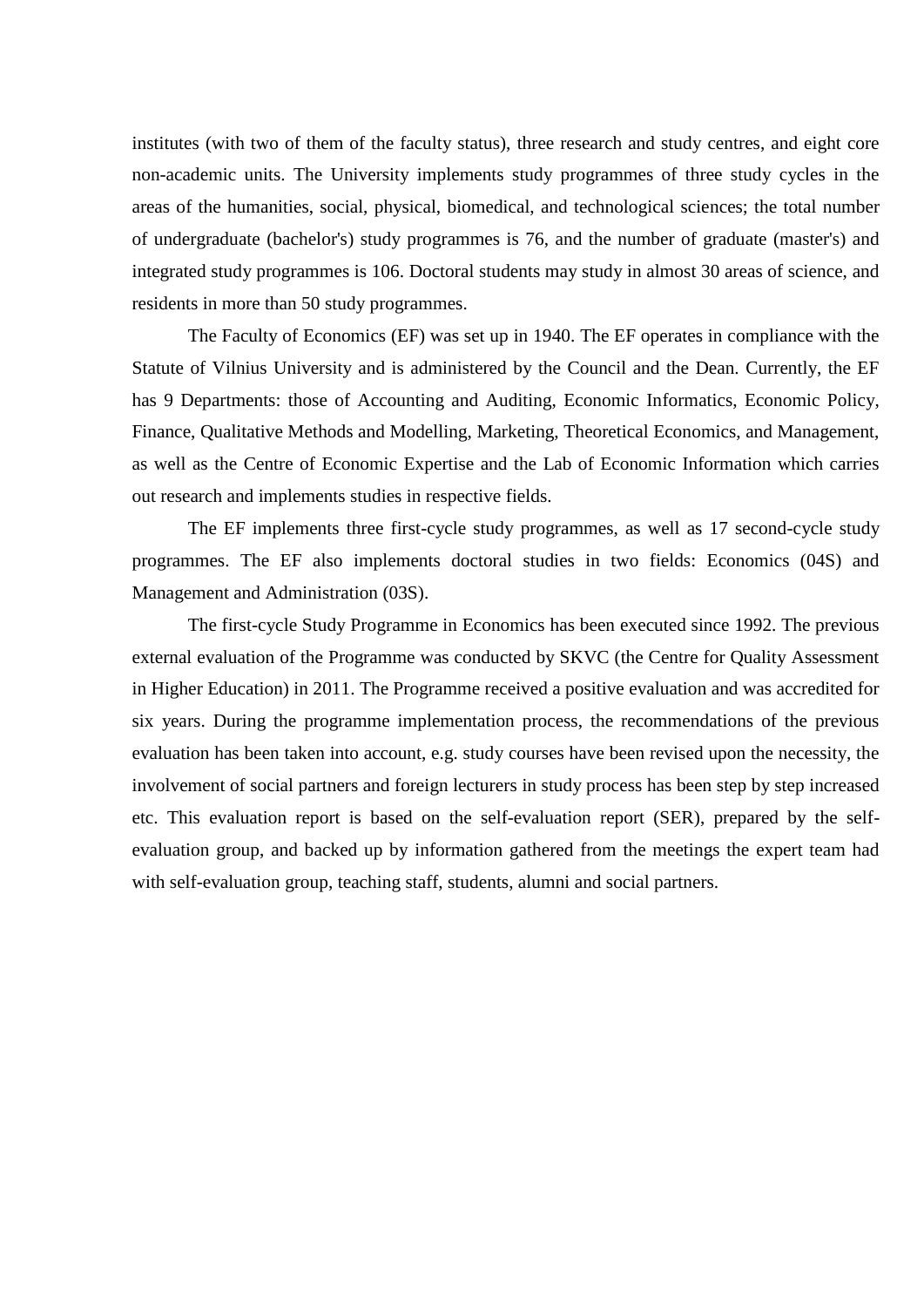institutes (with two of them of the faculty status), three research and study centres, and eight core non-academic units. The University implements study programmes of three study cycles in the areas of the humanities, social, physical, biomedical, and technological sciences; the total number of undergraduate (bachelor's) study programmes is 76, and the number of graduate (master's) and integrated study programmes is 106. Doctoral students may study in almost 30 areas of science, and residents in more than 50 study programmes.

The Faculty of Economics (EF) was set up in 1940. The EF operates in compliance with the Statute of Vilnius University and is administered by the Council and the Dean. Currently, the EF has 9 Departments: those of Accounting and Auditing, Economic Informatics, Economic Policy, Finance, Qualitative Methods and Modelling, Marketing, Theoretical Economics, and Management, as well as the Centre of Economic Expertise and the Lab of Economic Information which carries out research and implements studies in respective fields.

The EF implements three first-cycle study programmes, as well as 17 second-cycle study programmes. The EF also implements doctoral studies in two fields: Economics (04S) and Management and Administration (03S).

The first-cycle Study Programme in Economics has been executed since 1992. The previous external evaluation of the Programme was conducted by SKVC (the Centre for Quality Assessment in Higher Education) in 2011. The Programme received a positive evaluation and was accredited for six years. During the programme implementation process, the recommendations of the previous evaluation has been taken into account, e.g. study courses have been revised upon the necessity, the involvement of social partners and foreign lecturers in study process has been step by step increased etc. This evaluation report is based on the self-evaluation report (SER), prepared by the selfevaluation group, and backed up by information gathered from the meetings the expert team had with self-evaluation group, teaching staff, students, alumni and social partners.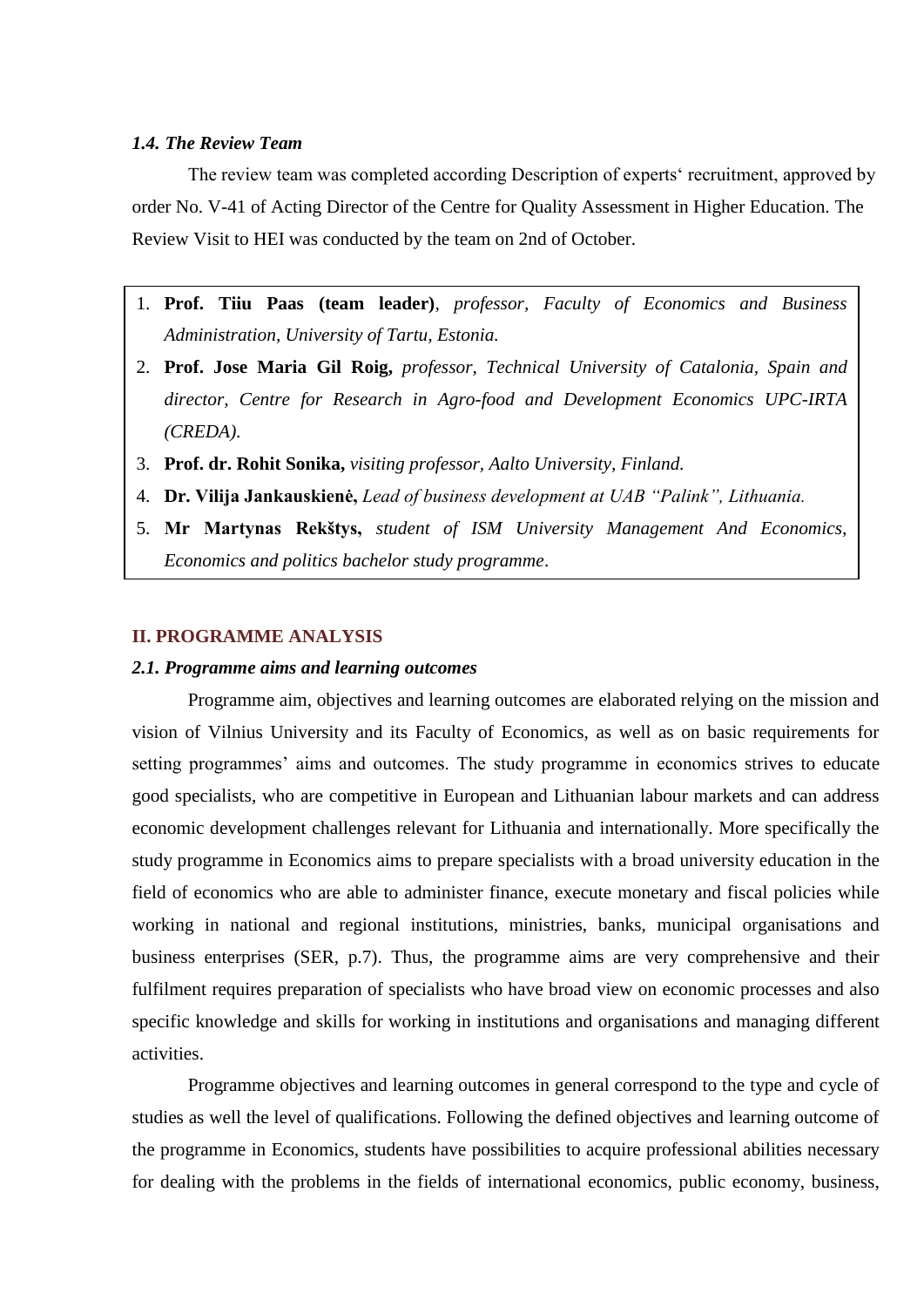#### <span id="page-5-0"></span>*1.4. The Review Team*

The review team was completed according Description of experts' recruitment, approved by order No. V-41 of Acting Director of the Centre for Quality Assessment in Higher Education. The Review Visit to HEI was conducted by the team on 2nd of October.

- 1. **Prof. Tiiu Paas (team leader)***, professor, Faculty of Economics and Business Administration, University of Tartu, Estonia.*
- 2. **Prof. Jose Maria Gil Roig,** *professor, Technical University of Catalonia, Spain and director, Centre for Research in Agro-food and Development Economics UPC-IRTA (CREDA).*
- 3. **Prof. dr. Rohit Sonika,** *visiting professor, Aalto University, Finland.*
- 4. **Dr. Vilija Jankauskienė,** *Lead of business development at UAB "Palink", Lithuania.*
- 5. **Mr Martynas Rekštys,** *student of ISM University Management And Economics, Economics and politics bachelor study programme*.

#### <span id="page-5-1"></span>**II. PROGRAMME ANALYSIS**

#### <span id="page-5-2"></span>*2.1. Programme aims and learning outcomes*

Programme aim, objectives and learning outcomes are elaborated relying on the mission and vision of Vilnius University and its Faculty of Economics, as well as on basic requirements for setting programmes' aims and outcomes. The study programme in economics strives to educate good specialists, who are competitive in European and Lithuanian labour markets and can address economic development challenges relevant for Lithuania and internationally. More specifically the study programme in Economics aims to prepare specialists with a broad university education in the field of economics who are able to administer finance, execute monetary and fiscal policies while working in national and regional institutions, ministries, banks, municipal organisations and business enterprises (SER, p.7). Thus, the programme aims are very comprehensive and their fulfilment requires preparation of specialists who have broad view on economic processes and also specific knowledge and skills for working in institutions and organisations and managing different activities.

Programme objectives and learning outcomes in general correspond to the type and cycle of studies as well the level of qualifications. Following the defined objectives and learning outcome of the programme in Economics, students have possibilities to acquire professional abilities necessary for dealing with the problems in the fields of international economics, public economy, business,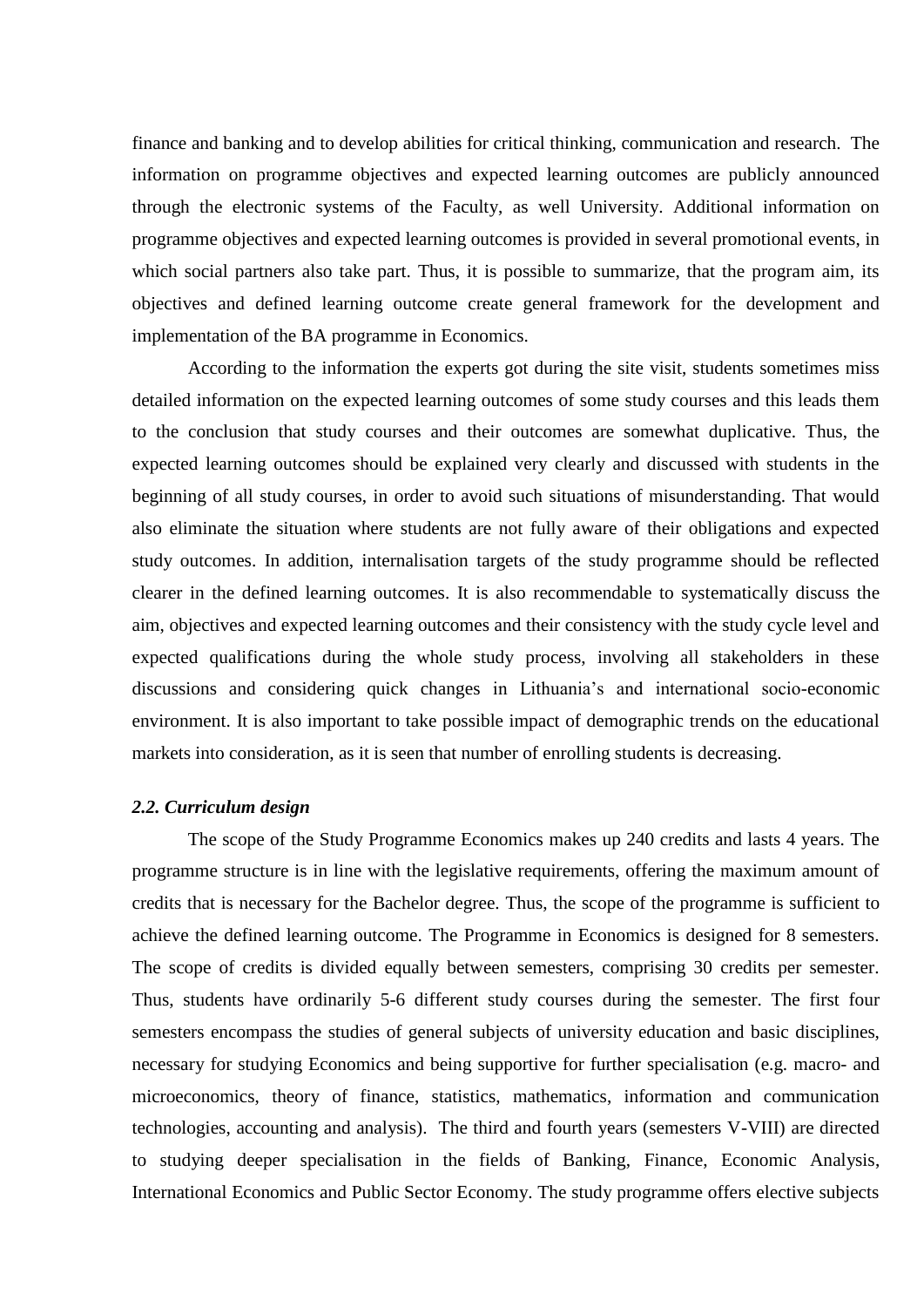finance and banking and to develop abilities for critical thinking, communication and research. The information on programme objectives and expected learning outcomes are publicly announced through the electronic systems of the Faculty, as well University. Additional information on programme objectives and expected learning outcomes is provided in several promotional events, in which social partners also take part. Thus, it is possible to summarize, that the program aim, its objectives and defined learning outcome create general framework for the development and implementation of the BA programme in Economics.

According to the information the experts got during the site visit, students sometimes miss detailed information on the expected learning outcomes of some study courses and this leads them to the conclusion that study courses and their outcomes are somewhat duplicative. Thus, the expected learning outcomes should be explained very clearly and discussed with students in the beginning of all study courses, in order to avoid such situations of misunderstanding. That would also eliminate the situation where students are not fully aware of their obligations and expected study outcomes. In addition, internalisation targets of the study programme should be reflected clearer in the defined learning outcomes. It is also recommendable to systematically discuss the aim, objectives and expected learning outcomes and their consistency with the study cycle level and expected qualifications during the whole study process, involving all stakeholders in these discussions and considering quick changes in Lithuania's and international socio-economic environment. It is also important to take possible impact of demographic trends on the educational markets into consideration, as it is seen that number of enrolling students is decreasing.

#### <span id="page-6-0"></span>*2.2. Curriculum design*

The scope of the Study Programme Economics makes up 240 credits and lasts 4 years. The programme structure is in line with the legislative requirements, offering the maximum amount of credits that is necessary for the Bachelor degree. Thus, the scope of the programme is sufficient to achieve the defined learning outcome. The Programme in Economics is designed for 8 semesters. The scope of credits is divided equally between semesters, comprising 30 credits per semester. Thus, students have ordinarily 5-6 different study courses during the semester. The first four semesters encompass the studies of general subjects of university education and basic disciplines, necessary for studying Economics and being supportive for further specialisation (e.g. macro- and microeconomics, theory of finance, statistics, mathematics, information and communication technologies, accounting and analysis). The third and fourth years (semesters V-VIII) are directed to studying deeper specialisation in the fields of Banking, Finance, Economic Analysis, International Economics and Public Sector Economy. The study programme offers elective subjects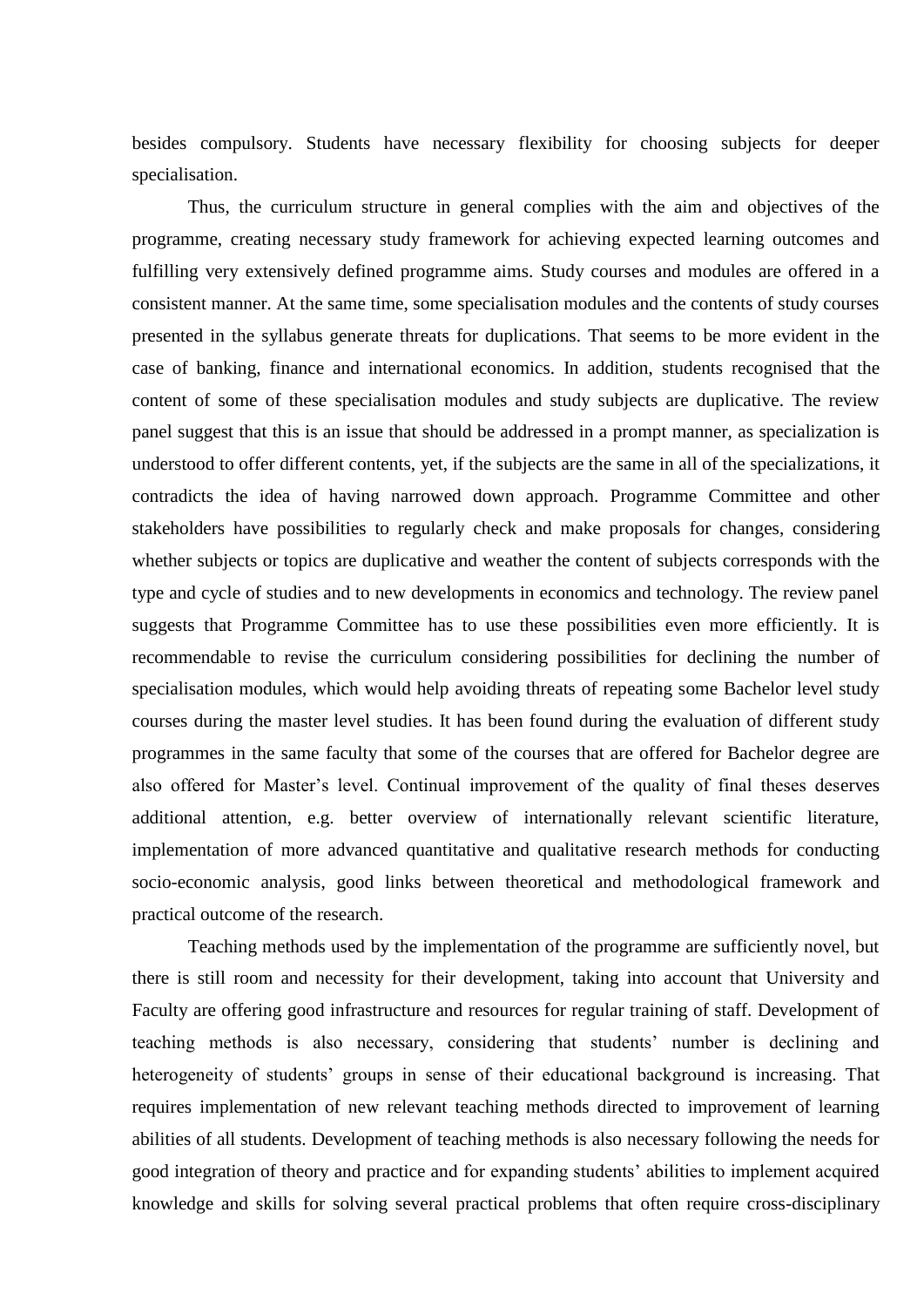besides compulsory. Students have necessary flexibility for choosing subjects for deeper specialisation.

Thus, the curriculum structure in general complies with the aim and objectives of the programme, creating necessary study framework for achieving expected learning outcomes and fulfilling very extensively defined programme aims. Study courses and modules are offered in a consistent manner. At the same time, some specialisation modules and the contents of study courses presented in the syllabus generate threats for duplications. That seems to be more evident in the case of banking, finance and international economics. In addition, students recognised that the content of some of these specialisation modules and study subjects are duplicative. The review panel suggest that this is an issue that should be addressed in a prompt manner, as specialization is understood to offer different contents, yet, if the subjects are the same in all of the specializations, it contradicts the idea of having narrowed down approach. Programme Committee and other stakeholders have possibilities to regularly check and make proposals for changes, considering whether subjects or topics are duplicative and weather the content of subjects corresponds with the type and cycle of studies and to new developments in economics and technology. The review panel suggests that Programme Committee has to use these possibilities even more efficiently. It is recommendable to revise the curriculum considering possibilities for declining the number of specialisation modules, which would help avoiding threats of repeating some Bachelor level study courses during the master level studies. It has been found during the evaluation of different study programmes in the same faculty that some of the courses that are offered for Bachelor degree are also offered for Master's level. Continual improvement of the quality of final theses deserves additional attention, e.g. better overview of internationally relevant scientific literature, implementation of more advanced quantitative and qualitative research methods for conducting socio-economic analysis, good links between theoretical and methodological framework and practical outcome of the research.

Teaching methods used by the implementation of the programme are sufficiently novel, but there is still room and necessity for their development, taking into account that University and Faculty are offering good infrastructure and resources for regular training of staff. Development of teaching methods is also necessary, considering that students' number is declining and heterogeneity of students' groups in sense of their educational background is increasing. That requires implementation of new relevant teaching methods directed to improvement of learning abilities of all students. Development of teaching methods is also necessary following the needs for good integration of theory and practice and for expanding students' abilities to implement acquired knowledge and skills for solving several practical problems that often require cross-disciplinary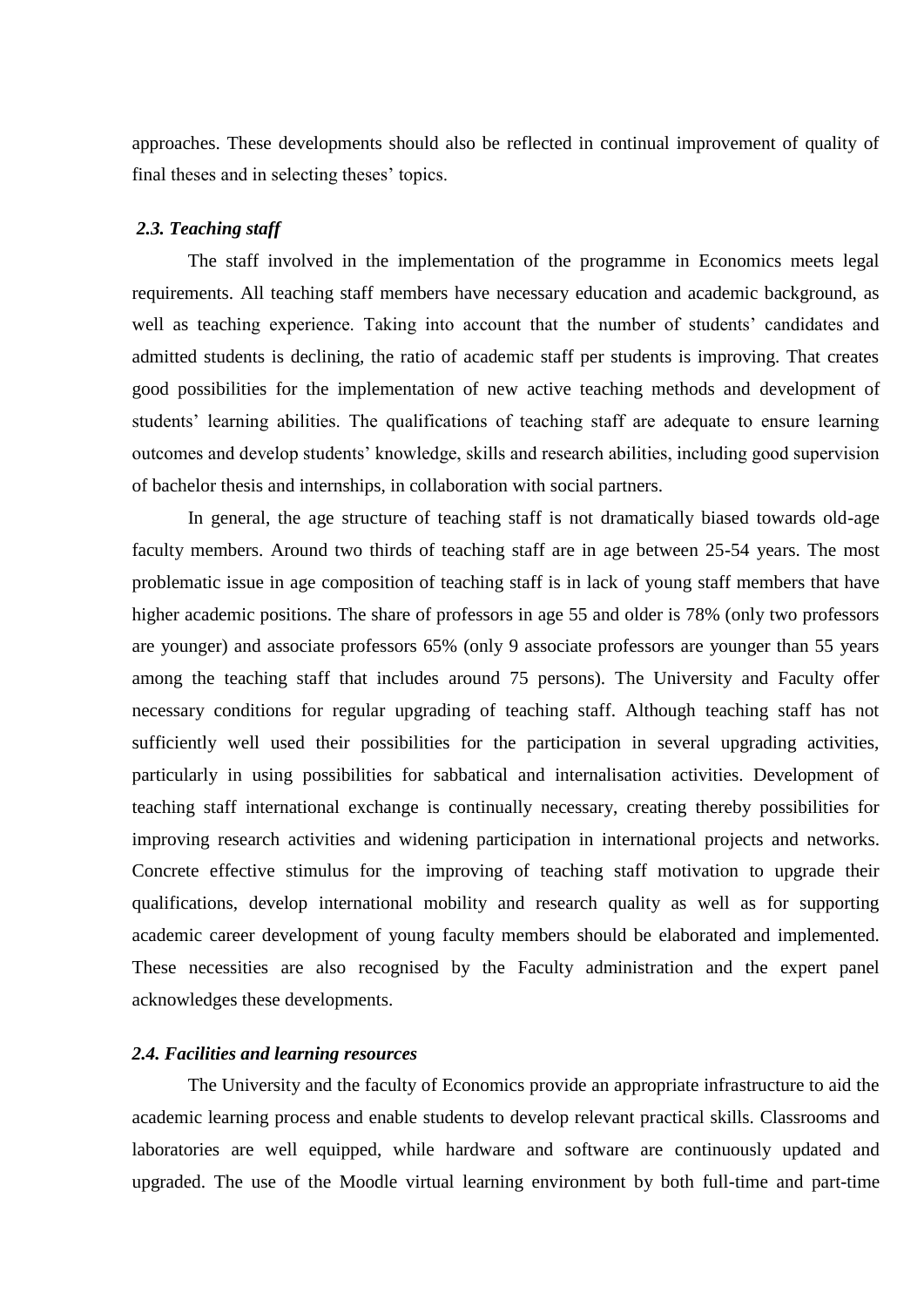approaches. These developments should also be reflected in continual improvement of quality of final theses and in selecting theses' topics.

#### <span id="page-8-0"></span>*2.3. Teaching staff*

The staff involved in the implementation of the programme in Economics meets legal requirements. All teaching staff members have necessary education and academic background, as well as teaching experience. Taking into account that the number of students' candidates and admitted students is declining, the ratio of academic staff per students is improving. That creates good possibilities for the implementation of new active teaching methods and development of students' learning abilities. The qualifications of teaching staff are adequate to ensure learning outcomes and develop students' knowledge, skills and research abilities, including good supervision of bachelor thesis and internships, in collaboration with social partners.

In general, the age structure of teaching staff is not dramatically biased towards old-age faculty members. Around two thirds of teaching staff are in age between 25-54 years. The most problematic issue in age composition of teaching staff is in lack of young staff members that have higher academic positions. The share of professors in age 55 and older is 78% (only two professors are younger) and associate professors 65% (only 9 associate professors are younger than 55 years among the teaching staff that includes around 75 persons). The University and Faculty offer necessary conditions for regular upgrading of teaching staff. Although teaching staff has not sufficiently well used their possibilities for the participation in several upgrading activities, particularly in using possibilities for sabbatical and internalisation activities. Development of teaching staff international exchange is continually necessary, creating thereby possibilities for improving research activities and widening participation in international projects and networks. Concrete effective stimulus for the improving of teaching staff motivation to upgrade their qualifications, develop international mobility and research quality as well as for supporting academic career development of young faculty members should be elaborated and implemented. These necessities are also recognised by the Faculty administration and the expert panel acknowledges these developments.

#### <span id="page-8-1"></span>*2.4. Facilities and learning resources*

The University and the faculty of Economics provide an appropriate infrastructure to aid the academic learning process and enable students to develop relevant practical skills. Classrooms and laboratories are well equipped, while hardware and software are continuously updated and upgraded. The use of the Moodle virtual learning environment by both full-time and part-time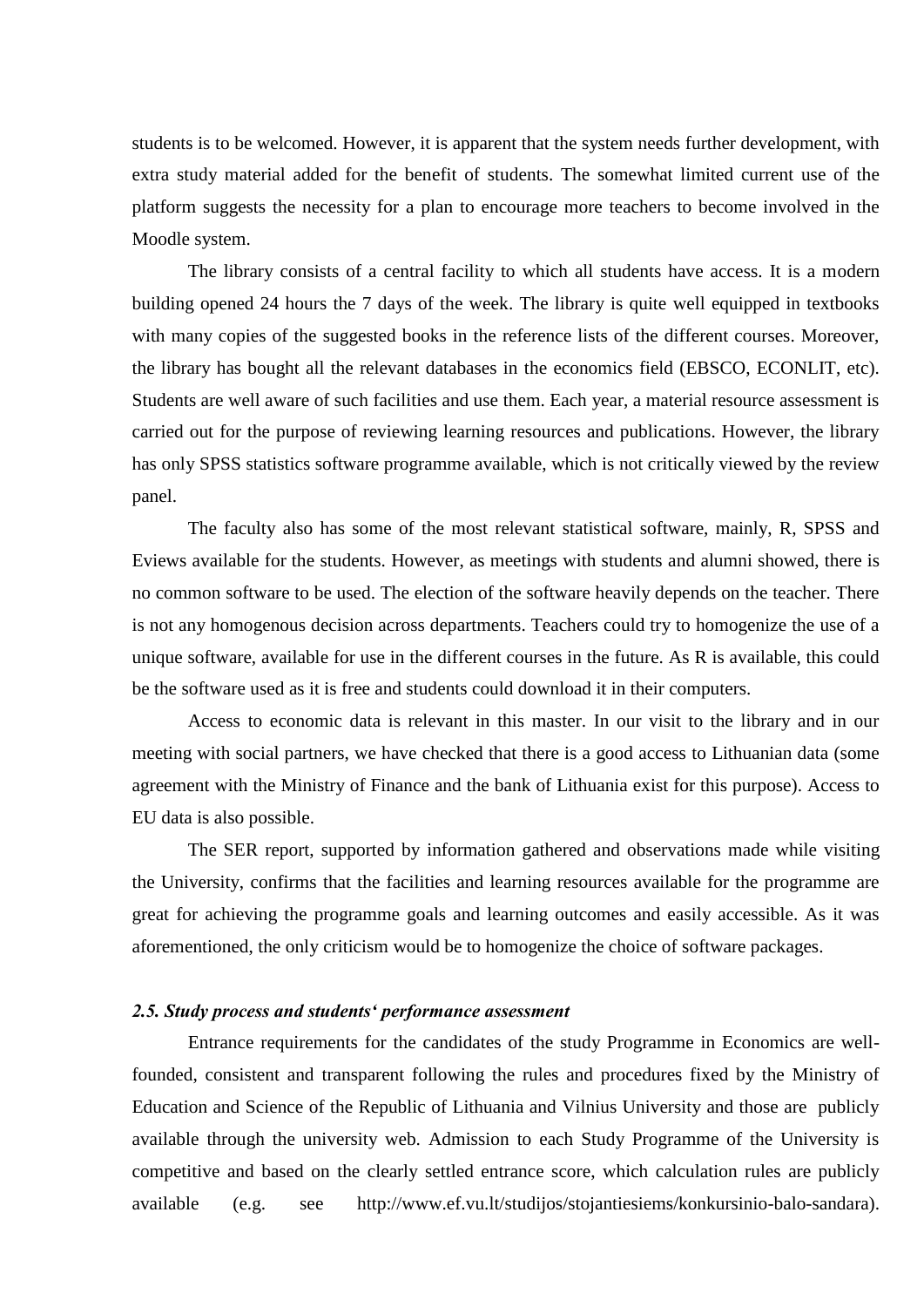students is to be welcomed. However, it is apparent that the system needs further development, with extra study material added for the benefit of students. The somewhat limited current use of the platform suggests the necessity for a plan to encourage more teachers to become involved in the Moodle system.

The library consists of a central facility to which all students have access. It is a modern building opened 24 hours the 7 days of the week. The library is quite well equipped in textbooks with many copies of the suggested books in the reference lists of the different courses. Moreover, the library has bought all the relevant databases in the economics field (EBSCO, ECONLIT, etc). Students are well aware of such facilities and use them. Each year, a material resource assessment is carried out for the purpose of reviewing learning resources and publications. However, the library has only SPSS statistics software programme available, which is not critically viewed by the review panel.

The faculty also has some of the most relevant statistical software, mainly, R, SPSS and Eviews available for the students. However, as meetings with students and alumni showed, there is no common software to be used. The election of the software heavily depends on the teacher. There is not any homogenous decision across departments. Teachers could try to homogenize the use of a unique software, available for use in the different courses in the future. As R is available, this could be the software used as it is free and students could download it in their computers.

Access to economic data is relevant in this master. In our visit to the library and in our meeting with social partners, we have checked that there is a good access to Lithuanian data (some agreement with the Ministry of Finance and the bank of Lithuania exist for this purpose). Access to EU data is also possible.

The SER report, supported by information gathered and observations made while visiting the University, confirms that the facilities and learning resources available for the programme are great for achieving the programme goals and learning outcomes and easily accessible. As it was aforementioned, the only criticism would be to homogenize the choice of software packages.

#### <span id="page-9-0"></span>*2.5. Study process and students' performance assessment*

Entrance requirements for the candidates of the study Programme in Economics are wellfounded, consistent and transparent following the rules and procedures fixed by the Ministry of Education and Science of the Republic of Lithuania and Vilnius University and those are publicly available through the university web. Admission to each Study Programme of the University is competitive and based on the clearly settled entrance score, which calculation rules are publicly available (e.g. see http://www.ef.vu.lt/studijos/stojantiesiems/konkursinio-balo-sandara).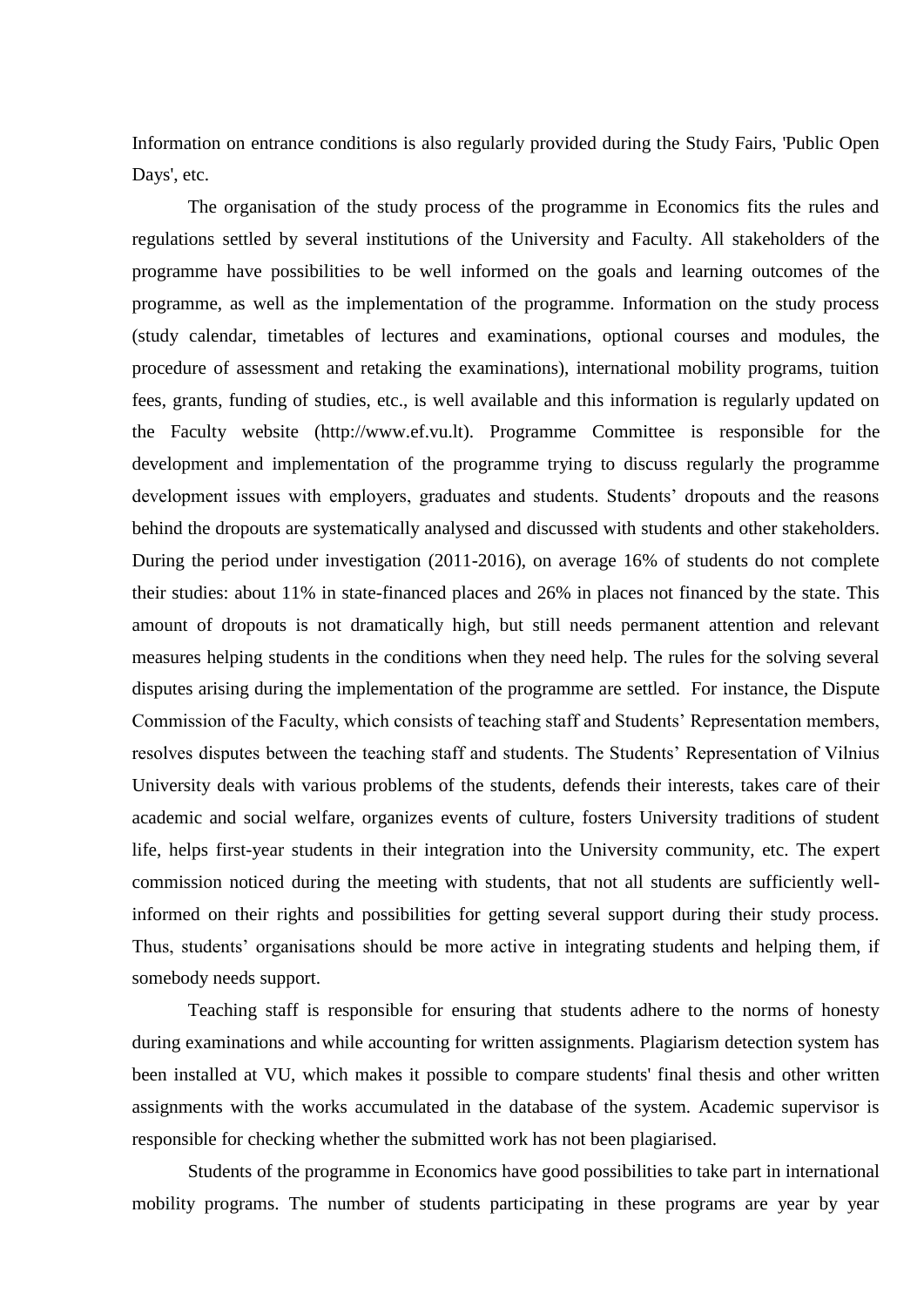Information on entrance conditions is also regularly provided during the Study Fairs, 'Public Open Days', etc.

The organisation of the study process of the programme in Economics fits the rules and regulations settled by several institutions of the University and Faculty. All stakeholders of the programme have possibilities to be well informed on the goals and learning outcomes of the programme, as well as the implementation of the programme. Information on the study process (study calendar, timetables of lectures and examinations, optional courses and modules, the procedure of assessment and retaking the examinations), international mobility programs, tuition fees, grants, funding of studies, etc., is well available and this information is regularly updated on the Faculty website (http://www.ef.vu.lt). Programme Committee is responsible for the development and implementation of the programme trying to discuss regularly the programme development issues with employers, graduates and students. Students' dropouts and the reasons behind the dropouts are systematically analysed and discussed with students and other stakeholders. During the period under investigation (2011-2016), on average 16% of students do not complete their studies: about 11% in state-financed places and 26% in places not financed by the state. This amount of dropouts is not dramatically high, but still needs permanent attention and relevant measures helping students in the conditions when they need help. The rules for the solving several disputes arising during the implementation of the programme are settled. For instance, the Dispute Commission of the Faculty, which consists of teaching staff and Students' Representation members, resolves disputes between the teaching staff and students. The Students' Representation of Vilnius University deals with various problems of the students, defends their interests, takes care of their academic and social welfare, organizes events of culture, fosters University traditions of student life, helps first-year students in their integration into the University community, etc. The expert commission noticed during the meeting with students, that not all students are sufficiently wellinformed on their rights and possibilities for getting several support during their study process. Thus, students' organisations should be more active in integrating students and helping them, if somebody needs support.

Teaching staff is responsible for ensuring that students adhere to the norms of honesty during examinations and while accounting for written assignments. Plagiarism detection system has been installed at VU, which makes it possible to compare students' final thesis and other written assignments with the works accumulated in the database of the system. Academic supervisor is responsible for checking whether the submitted work has not been plagiarised.

Students of the programme in Economics have good possibilities to take part in international mobility programs. The number of students participating in these programs are year by year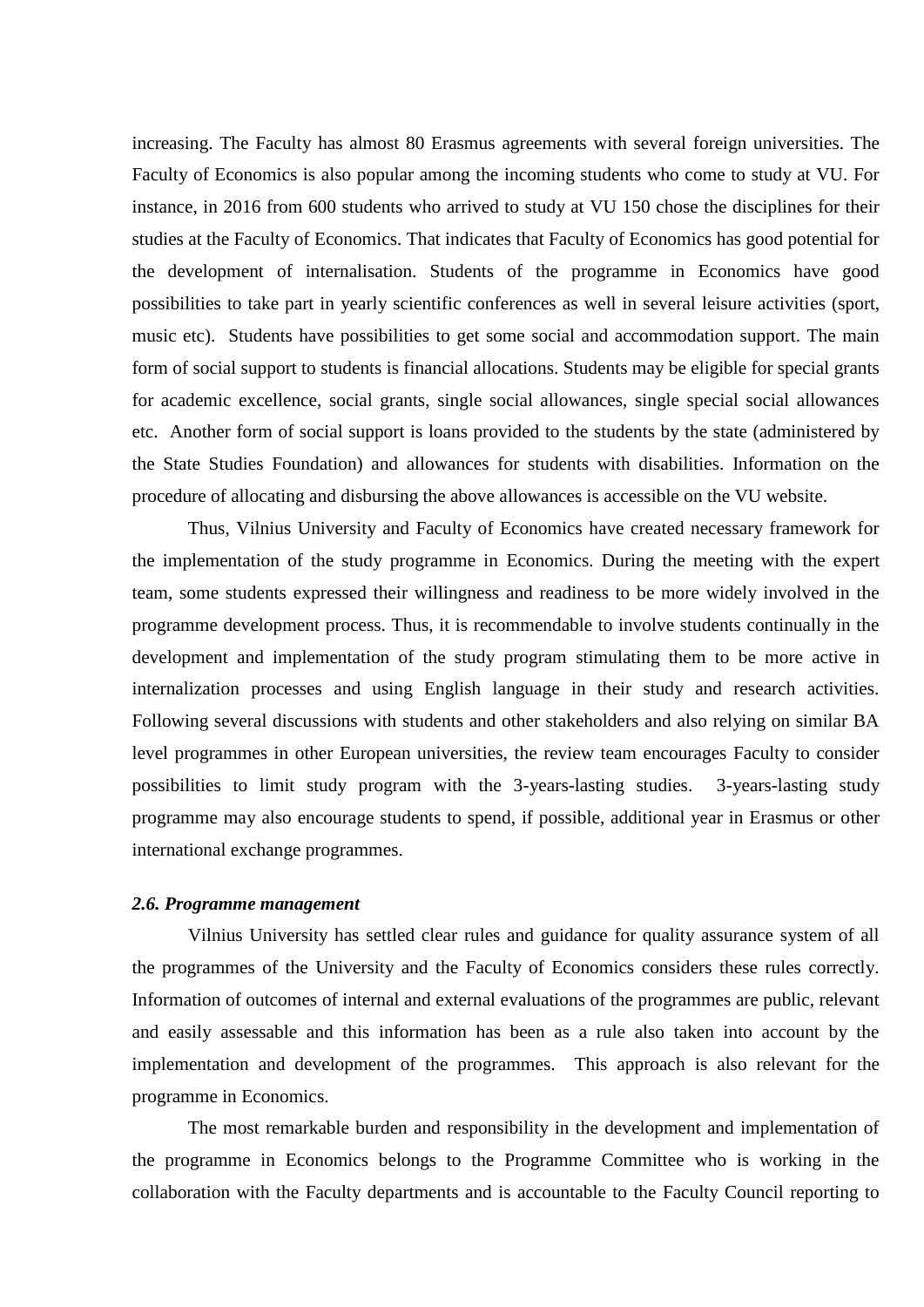increasing. The Faculty has almost 80 Erasmus agreements with several foreign universities. The Faculty of Economics is also popular among the incoming students who come to study at VU. For instance, in 2016 from 600 students who arrived to study at VU 150 chose the disciplines for their studies at the Faculty of Economics. That indicates that Faculty of Economics has good potential for the development of internalisation. Students of the programme in Economics have good possibilities to take part in yearly scientific conferences as well in several leisure activities (sport, music etc). Students have possibilities to get some social and accommodation support. The main form of social support to students is financial allocations. Students may be eligible for special grants for academic excellence, social grants, single social allowances, single special social allowances etc. Another form of social support is loans provided to the students by the state (administered by the State Studies Foundation) and allowances for students with disabilities. Information on the procedure of allocating and disbursing the above allowances is accessible on the VU website.

Thus, Vilnius University and Faculty of Economics have created necessary framework for the implementation of the study programme in Economics. During the meeting with the expert team, some students expressed their willingness and readiness to be more widely involved in the programme development process. Thus, it is recommendable to involve students continually in the development and implementation of the study program stimulating them to be more active in internalization processes and using English language in their study and research activities. Following several discussions with students and other stakeholders and also relying on similar BA level programmes in other European universities, the review team encourages Faculty to consider possibilities to limit study program with the 3-years-lasting studies. 3-years-lasting study programme may also encourage students to spend, if possible, additional year in Erasmus or other international exchange programmes.

#### <span id="page-11-0"></span>*2.6. Programme management*

Vilnius University has settled clear rules and guidance for quality assurance system of all the programmes of the University and the Faculty of Economics considers these rules correctly. Information of outcomes of internal and external evaluations of the programmes are public, relevant and easily assessable and this information has been as a rule also taken into account by the implementation and development of the programmes. This approach is also relevant for the programme in Economics.

The most remarkable burden and responsibility in the development and implementation of the programme in Economics belongs to the Programme Committee who is working in the collaboration with the Faculty departments and is accountable to the Faculty Council reporting to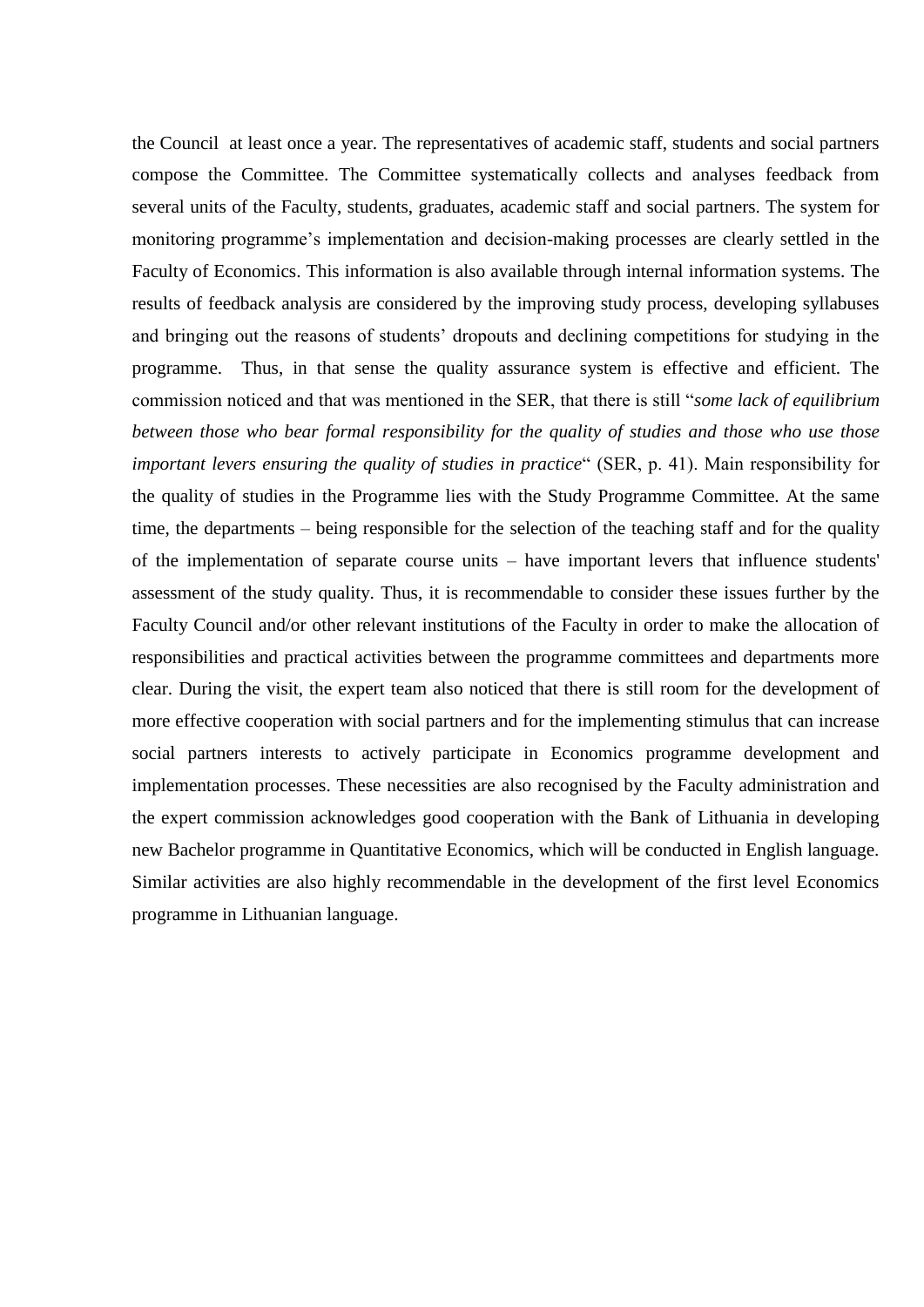the Council at least once a year. The representatives of academic staff, students and social partners compose the Committee. The Committee systematically collects and analyses feedback from several units of the Faculty, students, graduates, academic staff and social partners. The system for monitoring programme's implementation and decision-making processes are clearly settled in the Faculty of Economics. This information is also available through internal information systems. The results of feedback analysis are considered by the improving study process, developing syllabuses and bringing out the reasons of students' dropouts and declining competitions for studying in the programme. Thus, in that sense the quality assurance system is effective and efficient. The commission noticed and that was mentioned in the SER, that there is still "*some lack of equilibrium between those who bear formal responsibility for the quality of studies and those who use those important levers ensuring the quality of studies in practice*" (SER, p. 41). Main responsibility for the quality of studies in the Programme lies with the Study Programme Committee. At the same time, the departments – being responsible for the selection of the teaching staff and for the quality of the implementation of separate course units – have important levers that influence students' assessment of the study quality. Thus, it is recommendable to consider these issues further by the Faculty Council and/or other relevant institutions of the Faculty in order to make the allocation of responsibilities and practical activities between the programme committees and departments more clear. During the visit, the expert team also noticed that there is still room for the development of more effective cooperation with social partners and for the implementing stimulus that can increase social partners interests to actively participate in Economics programme development and implementation processes. These necessities are also recognised by the Faculty administration and the expert commission acknowledges good cooperation with the Bank of Lithuania in developing new Bachelor programme in Quantitative Economics, which will be conducted in English language. Similar activities are also highly recommendable in the development of the first level Economics programme in Lithuanian language.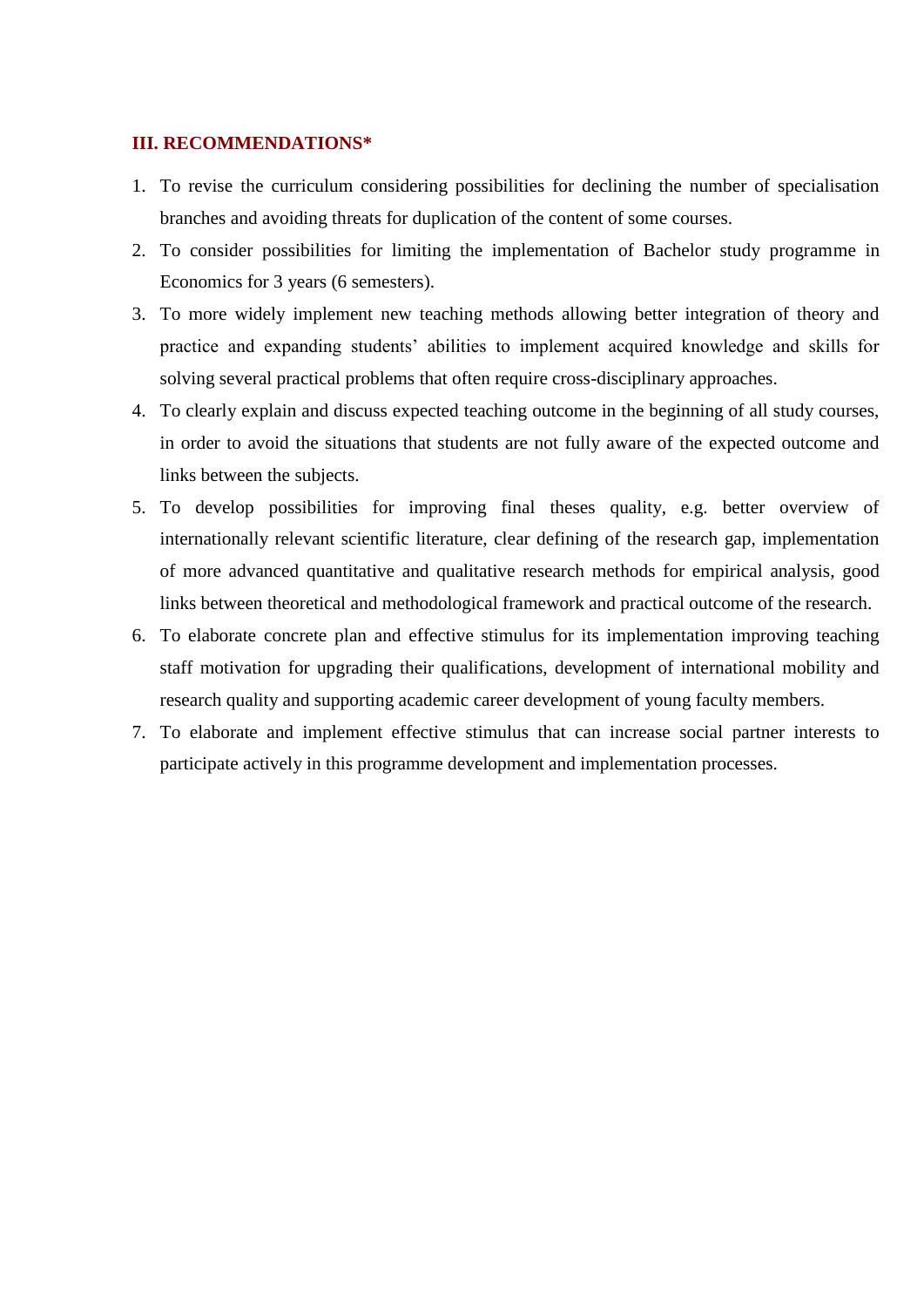#### <span id="page-13-0"></span>**III. RECOMMENDATIONS\***

- 1. To revise the curriculum considering possibilities for declining the number of specialisation branches and avoiding threats for duplication of the content of some courses.
- 2. To consider possibilities for limiting the implementation of Bachelor study programme in Economics for 3 years (6 semesters).
- 3. To more widely implement new teaching methods allowing better integration of theory and practice and expanding students' abilities to implement acquired knowledge and skills for solving several practical problems that often require cross-disciplinary approaches.
- 4. To clearly explain and discuss expected teaching outcome in the beginning of all study courses, in order to avoid the situations that students are not fully aware of the expected outcome and links between the subjects.
- 5. To develop possibilities for improving final theses quality, e.g. better overview of internationally relevant scientific literature, clear defining of the research gap, implementation of more advanced quantitative and qualitative research methods for empirical analysis, good links between theoretical and methodological framework and practical outcome of the research.
- 6. To elaborate concrete plan and effective stimulus for its implementation improving teaching staff motivation for upgrading their qualifications, development of international mobility and research quality and supporting academic career development of young faculty members.
- 7. To elaborate and implement effective stimulus that can increase social partner interests to participate actively in this programme development and implementation processes.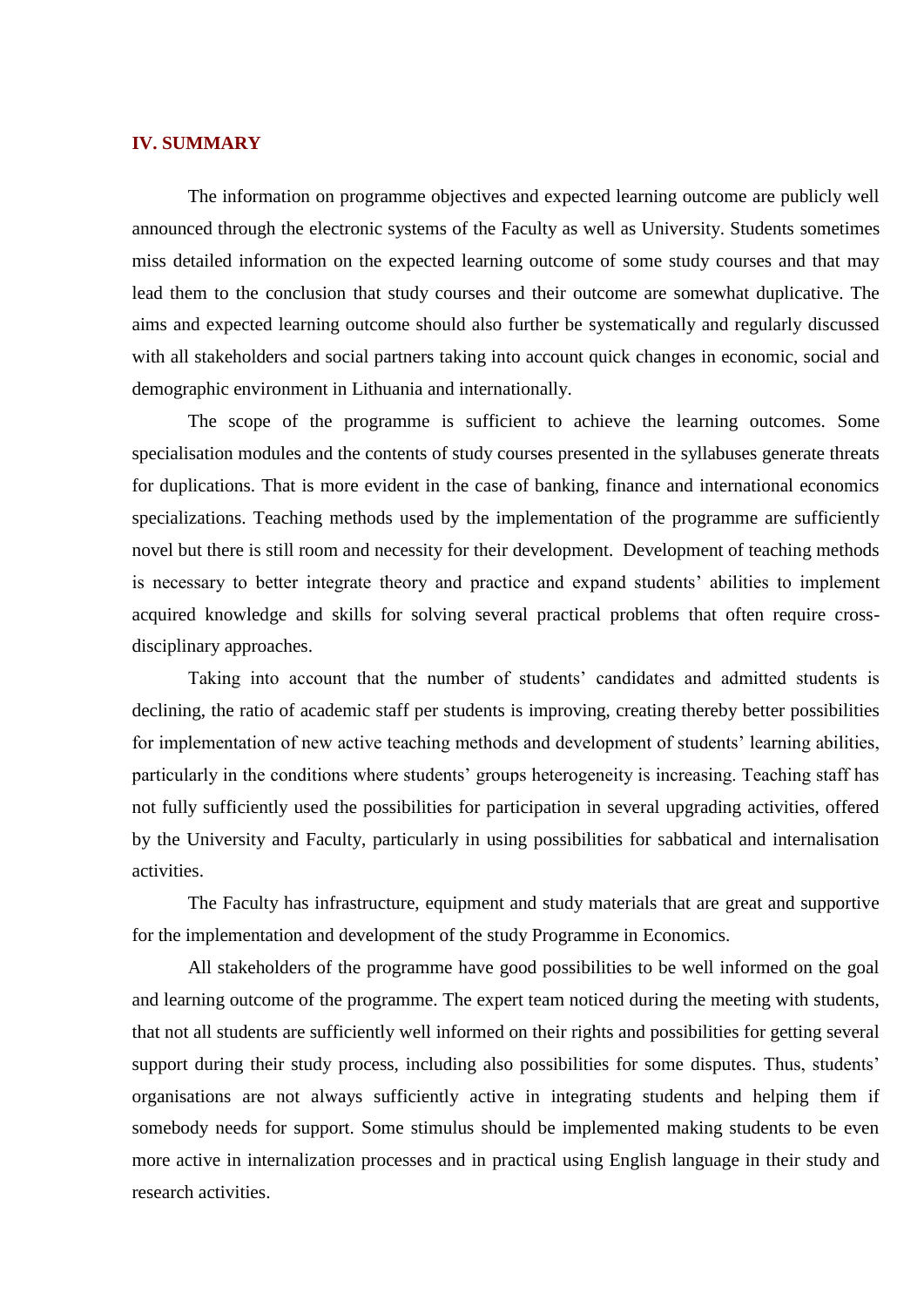#### <span id="page-14-0"></span>**IV. SUMMARY**

The information on programme objectives and expected learning outcome are publicly well announced through the electronic systems of the Faculty as well as University. Students sometimes miss detailed information on the expected learning outcome of some study courses and that may lead them to the conclusion that study courses and their outcome are somewhat duplicative. The aims and expected learning outcome should also further be systematically and regularly discussed with all stakeholders and social partners taking into account quick changes in economic, social and demographic environment in Lithuania and internationally.

The scope of the programme is sufficient to achieve the learning outcomes. Some specialisation modules and the contents of study courses presented in the syllabuses generate threats for duplications. That is more evident in the case of banking, finance and international economics specializations. Teaching methods used by the implementation of the programme are sufficiently novel but there is still room and necessity for their development. Development of teaching methods is necessary to better integrate theory and practice and expand students' abilities to implement acquired knowledge and skills for solving several practical problems that often require crossdisciplinary approaches.

Taking into account that the number of students' candidates and admitted students is declining, the ratio of academic staff per students is improving, creating thereby better possibilities for implementation of new active teaching methods and development of students' learning abilities, particularly in the conditions where students' groups heterogeneity is increasing. Teaching staff has not fully sufficiently used the possibilities for participation in several upgrading activities, offered by the University and Faculty, particularly in using possibilities for sabbatical and internalisation activities.

The Faculty has infrastructure, equipment and study materials that are great and supportive for the implementation and development of the study Programme in Economics.

All stakeholders of the programme have good possibilities to be well informed on the goal and learning outcome of the programme. The expert team noticed during the meeting with students, that not all students are sufficiently well informed on their rights and possibilities for getting several support during their study process, including also possibilities for some disputes. Thus, students' organisations are not always sufficiently active in integrating students and helping them if somebody needs for support. Some stimulus should be implemented making students to be even more active in internalization processes and in practical using English language in their study and research activities.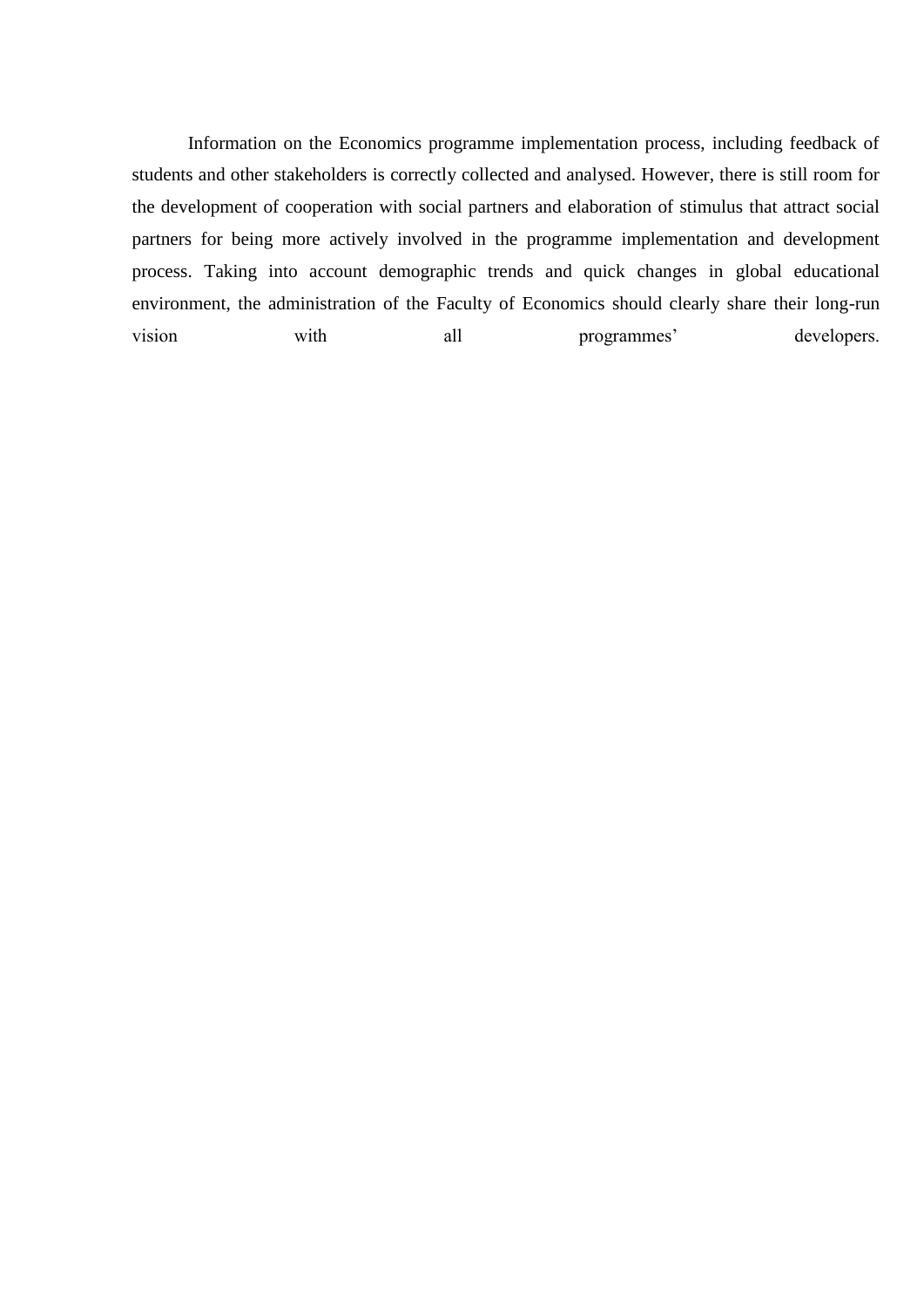Information on the Economics programme implementation process, including feedback of students and other stakeholders is correctly collected and analysed. However, there is still room for the development of cooperation with social partners and elaboration of stimulus that attract social partners for being more actively involved in the programme implementation and development process. Taking into account demographic trends and quick changes in global educational environment, the administration of the Faculty of Economics should clearly share their long-run vision with all programmes' developers.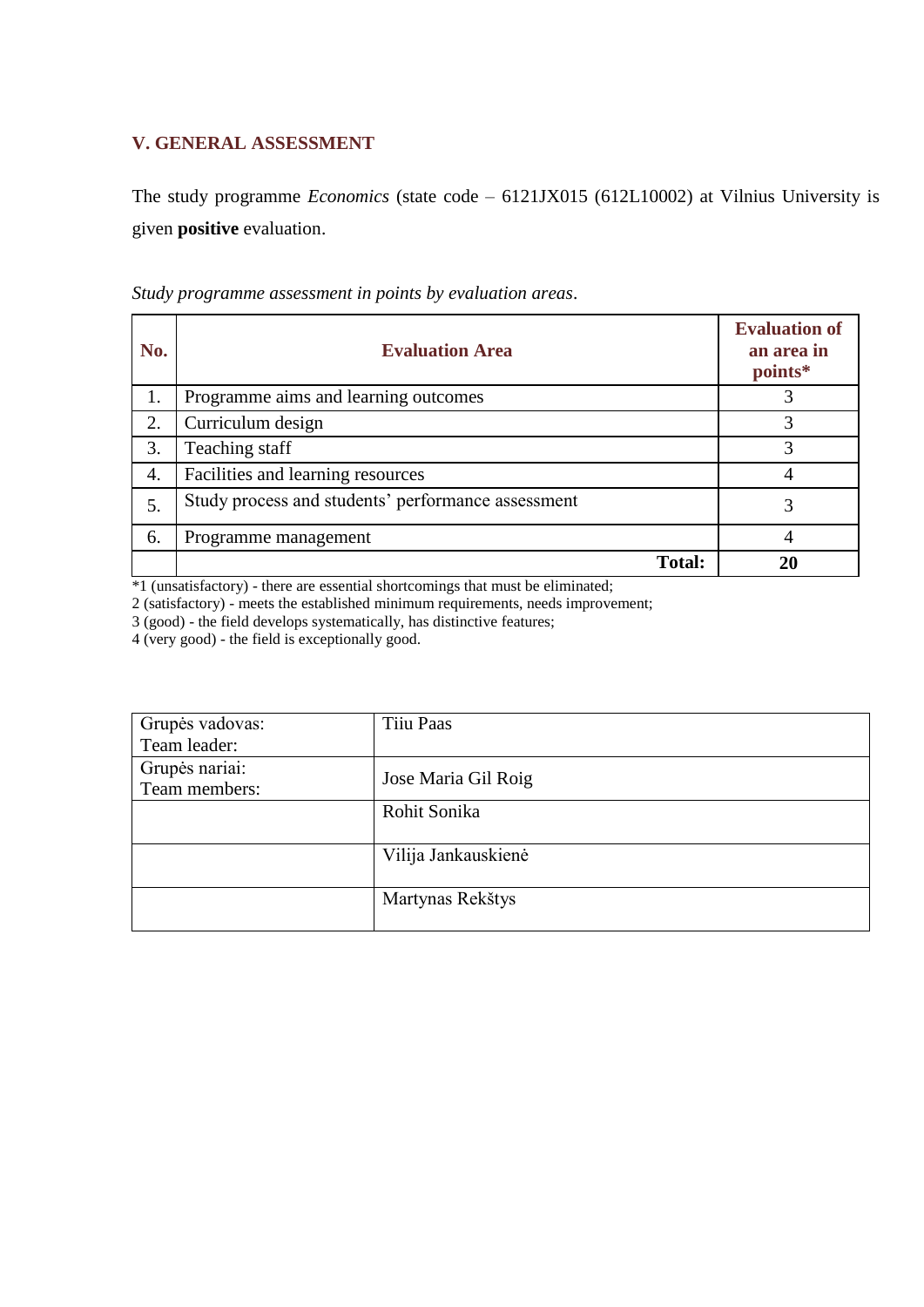### **V. GENERAL ASSESSMENT**

The study programme *Economics* (state code – 6121JX015 (612L10002) at Vilnius University is given **positive** evaluation.

| No. | <b>Evaluation Area</b>                             | <b>Evaluation of</b><br>an area in<br>points* |
|-----|----------------------------------------------------|-----------------------------------------------|
| 1.  | Programme aims and learning outcomes               | 3                                             |
| 2.  | Curriculum design                                  | 3                                             |
| 3.  | Teaching staff                                     | 3                                             |
| 4.  | Facilities and learning resources                  | 4                                             |
| 5.  | Study process and students' performance assessment |                                               |
| 6.  | Programme management                               |                                               |
|     | <b>Total:</b>                                      | 20                                            |

*Study programme assessment in points by evaluation areas*.

\*1 (unsatisfactory) - there are essential shortcomings that must be eliminated;

2 (satisfactory) - meets the established minimum requirements, needs improvement;

3 (good) - the field develops systematically, has distinctive features;

4 (very good) - the field is exceptionally good.

| Grupės vadovas: | Tiiu Paas           |
|-----------------|---------------------|
| Team leader:    |                     |
| Grupės nariai:  |                     |
| Team members:   | Jose Maria Gil Roig |
|                 | Rohit Sonika        |
|                 |                     |
|                 | Vilija Jankauskienė |
|                 |                     |
|                 | Martynas Rekštys    |
|                 |                     |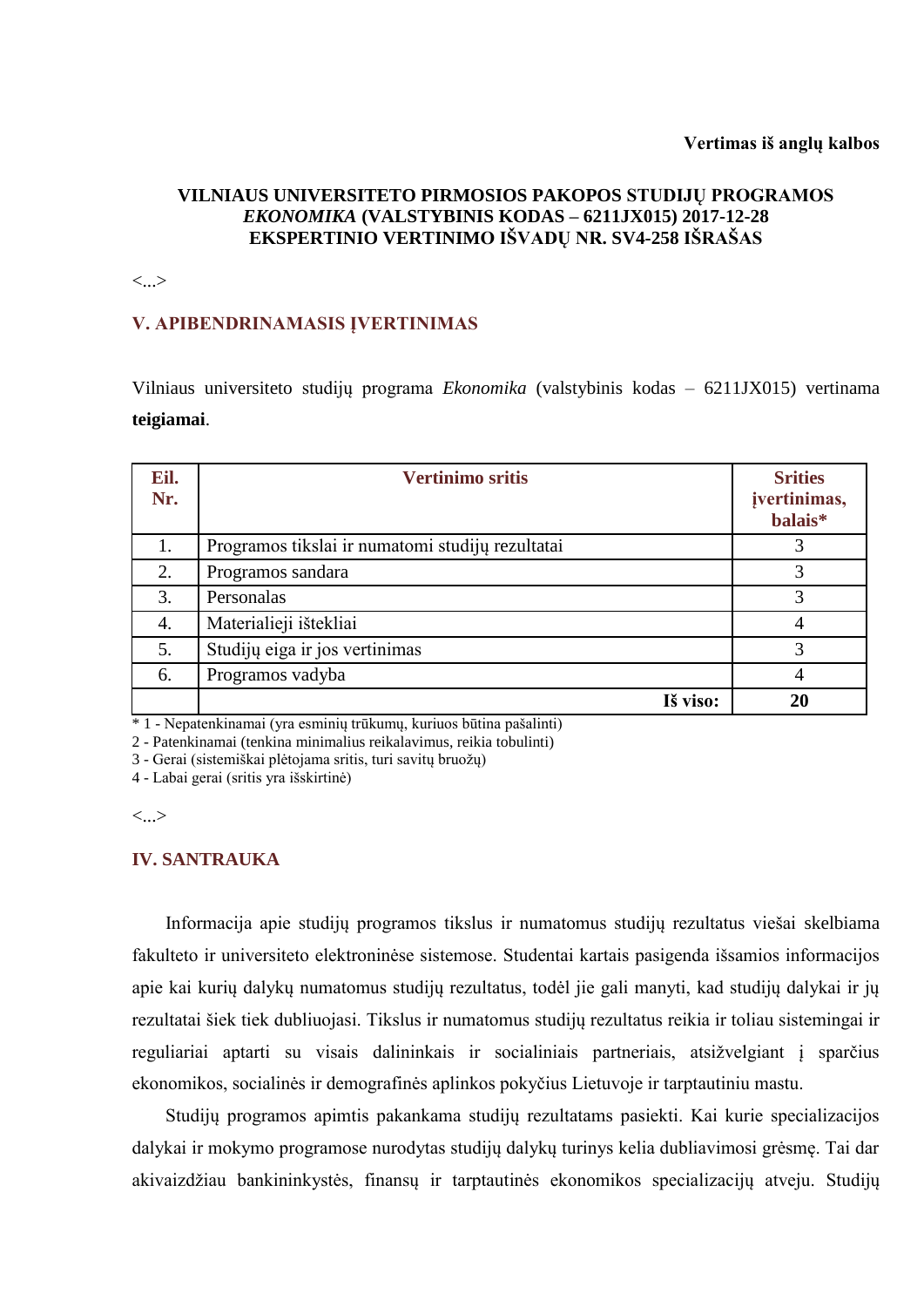### **VILNIAUS UNIVERSITETO PIRMOSIOS PAKOPOS STUDIJŲ PROGRAMOS**  *EKONOMIKA* **(VALSTYBINIS KODAS – 6211JX015) 2017-12-28 EKSPERTINIO VERTINIMO IŠVADŲ NR. SV4-258 IŠRAŠAS**

<...>

#### **V. APIBENDRINAMASIS ĮVERTINIMAS**

Vilniaus universiteto studijų programa *Ekonomika* (valstybinis kodas – 6211JX015) vertinama **teigiamai**.

| Eil.<br>Nr. | <b>Vertinimo sritis</b>                          | <b>Srities</b><br>jvertinimas,<br>balais* |
|-------------|--------------------------------------------------|-------------------------------------------|
| 1.          | Programos tikslai ir numatomi studijų rezultatai |                                           |
| 2.          | Programos sandara                                |                                           |
| 3.          | Personalas                                       | 3                                         |
| 4.          | Materialieji ištekliai                           | 4                                         |
| 5.          | Studijų eiga ir jos vertinimas                   | 3                                         |
| 6.          | Programos vadyba                                 |                                           |
|             | Iš viso:                                         | 20                                        |

\* 1 - Nepatenkinamai (yra esminių trūkumų, kuriuos būtina pašalinti)

2 - Patenkinamai (tenkina minimalius reikalavimus, reikia tobulinti)

3 - Gerai (sistemiškai plėtojama sritis, turi savitų bruožų)

4 - Labai gerai (sritis yra išskirtinė)

 $\langle \ldots \rangle$ 

#### **IV. SANTRAUKA**

Informacija apie studijų programos tikslus ir numatomus studijų rezultatus viešai skelbiama fakulteto ir universiteto elektroninėse sistemose. Studentai kartais pasigenda išsamios informacijos apie kai kurių dalykų numatomus studijų rezultatus, todėl jie gali manyti, kad studijų dalykai ir jų rezultatai šiek tiek dubliuojasi. Tikslus ir numatomus studijų rezultatus reikia ir toliau sistemingai ir reguliariai aptarti su visais dalininkais ir socialiniais partneriais, atsižvelgiant į sparčius ekonomikos, socialinės ir demografinės aplinkos pokyčius Lietuvoje ir tarptautiniu mastu.

Studijų programos apimtis pakankama studijų rezultatams pasiekti. Kai kurie specializacijos dalykai ir mokymo programose nurodytas studijų dalykų turinys kelia dubliavimosi grėsmę. Tai dar akivaizdžiau bankininkystės, finansų ir tarptautinės ekonomikos specializacijų atveju. Studijų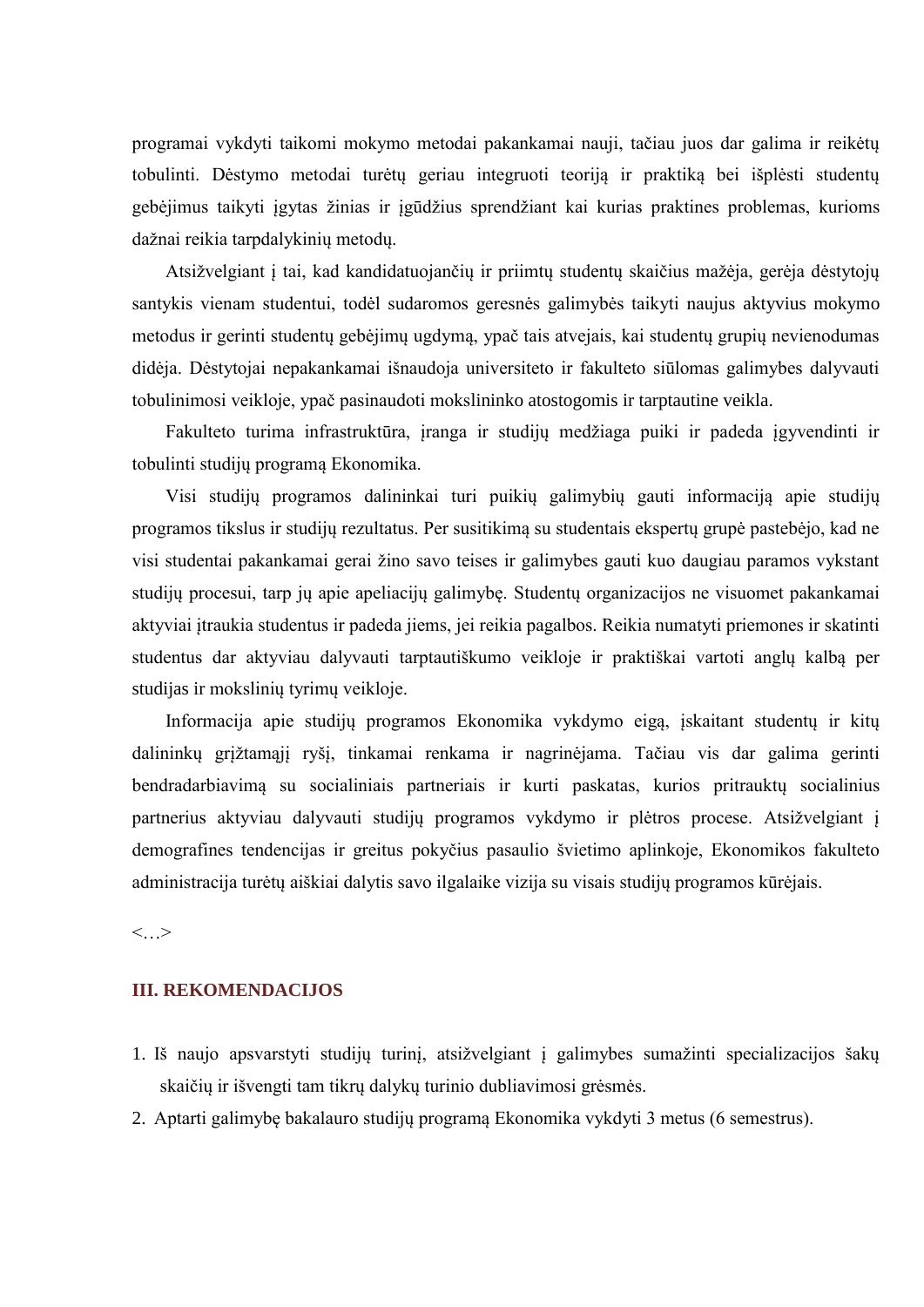programai vykdyti taikomi mokymo metodai pakankamai nauji, tačiau juos dar galima ir reikėtų tobulinti. Dėstymo metodai turėtų geriau integruoti teoriją ir praktiką bei išplėsti studentų gebėjimus taikyti įgytas žinias ir įgūdžius sprendžiant kai kurias praktines problemas, kurioms dažnai reikia tarpdalykinių metodų.

Atsižvelgiant į tai, kad kandidatuojančių ir priimtų studentų skaičius mažėja, gerėja dėstytojų santykis vienam studentui, todėl sudaromos geresnės galimybės taikyti naujus aktyvius mokymo metodus ir gerinti studentų gebėjimų ugdymą, ypač tais atvejais, kai studentų grupių nevienodumas didėja. Dėstytojai nepakankamai išnaudoja universiteto ir fakulteto siūlomas galimybes dalyvauti tobulinimosi veikloje, ypač pasinaudoti mokslininko atostogomis ir tarptautine veikla.

Fakulteto turima infrastruktūra, įranga ir studijų medžiaga puiki ir padeda įgyvendinti ir tobulinti studijų programą Ekonomika.

Visi studijų programos dalininkai turi puikių galimybių gauti informaciją apie studijų programos tikslus ir studijų rezultatus. Per susitikimą su studentais ekspertų grupė pastebėjo, kad ne visi studentai pakankamai gerai žino savo teises ir galimybes gauti kuo daugiau paramos vykstant studijų procesui, tarp jų apie apeliacijų galimybę. Studentų organizacijos ne visuomet pakankamai aktyviai įtraukia studentus ir padeda jiems, jei reikia pagalbos. Reikia numatyti priemones ir skatinti studentus dar aktyviau dalyvauti tarptautiškumo veikloje ir praktiškai vartoti anglų kalbą per studijas ir mokslinių tyrimų veikloje.

Informacija apie studijų programos Ekonomika vykdymo eigą, įskaitant studentų ir kitų dalininkų grįžtamąjį ryšį, tinkamai renkama ir nagrinėjama. Tačiau vis dar galima gerinti bendradarbiavimą su socialiniais partneriais ir kurti paskatas, kurios pritrauktų socialinius partnerius aktyviau dalyvauti studijų programos vykdymo ir plėtros procese. Atsižvelgiant į demografines tendencijas ir greitus pokyčius pasaulio švietimo aplinkoje, Ekonomikos fakulteto administracija turėtų aiškiai dalytis savo ilgalaike vizija su visais studijų programos kūrėjais.

<…>

#### **III. REKOMENDACIJOS**

- 1. Iš naujo apsvarstyti studijų turinį, atsižvelgiant į galimybes sumažinti specializacijos šakų skaičių ir išvengti tam tikrų dalykų turinio dubliavimosi grėsmės.
- 2. Aptarti galimybę bakalauro studijų programą Ekonomika vykdyti 3 metus (6 semestrus).